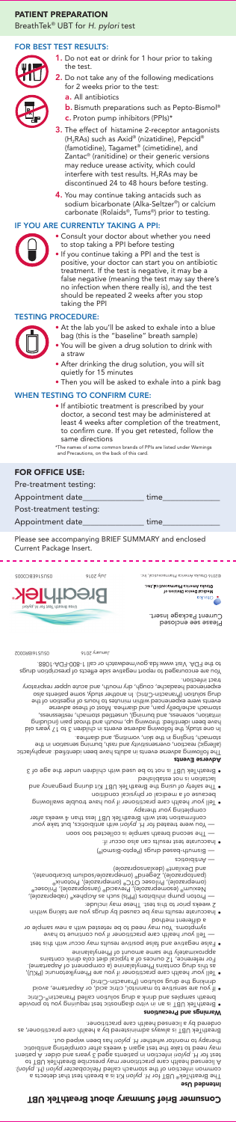## PATIENT PREPARATION

BreathTek® UBT for *H. pylori* test

## FOR BEST TEST RESULTS:



1. Do not eat or drink for 1 hour prior to taking the test.



- 2. Do not take any of the following medications for 2 weeks prior to the test:
	- a. All antibiotics
	- **b.** Bismuth preparations such as Pepto-Bismol<sup>®</sup>
	- c. Proton pump inhibitors (PPIs)\*
- **3.** The effect of histamine 2-receptor antagonists (H2RAs) such as Axid® (nizatidine), Pepcid® (famotidine), Tagamet® (cimetidine), and Zantac® (ranitidine) or their generic versions may reduce urease activity, which could interfere with test results.  $H_2RAs$  may be discontinued 24 to 48 hours before testing.
- 4. You may continue taking antacids such as sodium bicarbonate (Alka-Seltzer®) or calcium carbonate (Rolaids®, Tums®) prior to testing.

### IF YOU ARE CURRENTLY TAKING A PPI:



- Consult your doctor about whether you need to stop taking a PPI before testing
- If you continue taking a PPI and the test is positive, your doctor can start you on antibiotic treatment. If the test is negative, it may be a false negative (meaning the test may say there's no infection when there really is), and the test should be repeated 2 weeks after you stop taking the PPI

### TESTING PROCEDURE:



- At the lab you'll be asked to exhale into a blue bag (this is the "baseline" breath sample)
- You will be given a drug solution to drink with a straw
- After drinking the drug solution, you will sit quietly for 15 minutes
- Then you will be asked to exhale into a pink bag

### WHEN TESTING TO CONFIRM CURE:

• If antibiotic treatment is prescribed by your doctor, a second test may be administered at least 4 weeks after completion of the treatment, to confirm cure. If you get retested, follow the same directions

\*The names of some common brands of PPIs are listed under Warnings and Precautions, on the back of this card.

## FOR OFFICE USE:

| Pre-treatment testing:  |      |
|-------------------------|------|
| Appointment date        | time |
| Post-treatment testing: |      |
| Appointment date        | time |
|                         |      |

Please see accompanying BRIEF SUMMARY and enclosed Current Package Insert.